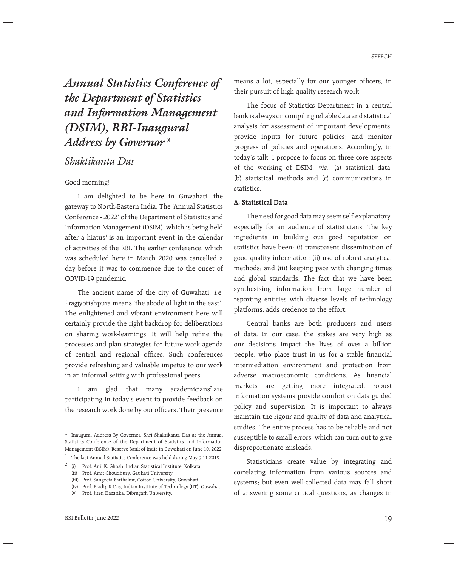*Annual Statistics Conference of the Department of Statistics and Information Management (DSIM), RBI-Inaugural Address by Governor\**

# *Shaktikanta Das*

#### Good morning!

 I am delighted to be here in Guwahati, the gateway to North-Eastern India. The 'Annual Statistics Conference - 2022' of the Department of Statistics and Information Management (DSIM), which is being held after a hiatus<sup>1</sup> is an important event in the calendar of activities of the RBI. The earlier conference, which was scheduled here in March 2020 was cancelled a day before it was to commence due to the onset of COVID-19 pandemic.

 The ancient name of the city of Guwahati, i.e. Pragjyotishpura means 'the abode of light in the east'. The enlightened and vibrant environment here will certainly provide the right backdrop for deliberations on sharing work-learnings. It will help refine the processes and plan strategies for future work agenda of central and regional offices. Such conferences provide refreshing and valuable impetus to our work in an informal setting with professional peers.

I am glad that many academicians<sup>2</sup> are participating in today's event to provide feedback on the research work done by our officers. Their presence

means a lot, especially for our younger officers, in their pursuit of high quality research work.

 The focus of Statistics Department in a central bank is always on compiling reliable data and statistical analysis for assessment of important developments; provide inputs for future policies; and monitor progress of policies and operations. Accordingly, in today's talk, I propose to focus on three core aspects of the working of DSIM, viz., (a) statistical data, (b) statistical methods and (c) communications in statistics.

#### **A. Statistical Data**

 The need for good data may seem self-explanatory, especially for an audience of statisticians. The key ingredients in building our good reputation on statistics have been: (i) transparent dissemination of good quality information; (ii) use of robust analytical methods; and (iii) keeping pace with changing times and global standards. The fact that we have been synthesising information from large number of reporting entities with diverse levels of technology platforms, adds credence to the effort.

 Central banks are both producers and users of data. In our case, the stakes are very high as our decisions impact the lives of over a billion people, who place trust in us for a stable financial intermediation environment and protection from adverse macroeconomic conditions. As financial markets are getting more integrated, robust information systems provide comfort on data guided policy and supervision. It is important to always maintain the rigour and quality of data and analytical studies. The entire process has to be reliable and not susceptible to small errors, which can turn out to give disproportionate misleads.

 Statisticians create value by integrating and correlating information from various sources and systems; but even well-collected data may fall short of answering some critical questions, as changes in

<sup>\*</sup> Inaugural Address By Governor, Shri Shaktikanta Das at the Annual Statistics Conference of the Department of Statistics and Information Management (DSIM), Reserve Bank of India in Guwahati on June 10, 2022.

<sup>1</sup> The last Annual Statistics Conference was held during May 9-11 2019.

<sup>2</sup> (i) Prof. Anil K. Ghosh, Indian Statistical Institute, Kolkata.

 <sup>(</sup>ii) Prof. Amit Choudhury, Gauhati University.

 <sup>(</sup>iii) Prof. Sangeeta Barthakur, Cotton University, Guwahati.

 <sup>(</sup>iv) Prof. Pradip K Das, Indian Institute of Technology (IIT), Guwahati.

 <sup>(</sup>v) Prof. Jiten Hazarika, Dibrugarh University.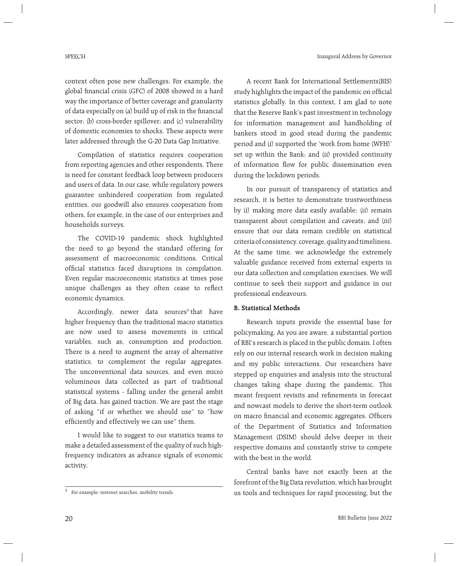Inaugural Address by Governor

context often pose new challenges. For example, the global financial crisis (GFC) of 2008 showed in a hard way the importance of better coverage and granularity of data especially on (a) build up of risk in the financial sector; (b) cross-border spillover; and (c) vulnerability of domestic economies to shocks. These aspects were later addressed through the G-20 Data Gap Initiative.

 Compilation of statistics requires cooperation from reporting agencies and other respondents. There is need for constant feedback loop between producers and users of data. In our case, while regulatory powers guarantee unhindered cooperation from regulated entities, our goodwill also ensures cooperation from others, for example, in the case of our enterprises and households surveys.

 The COVID-19 pandemic shock highlighted the need to go beyond the standard offering for assessment of macroeconomic conditions. Critical official statistics faced disruptions in compilation. Even regular macroeconomic statistics at times pose unique challenges as they often cease to reflect economic dynamics.

Accordingly, newer data sources<sup>3</sup> that have higher frequency than the traditional macro statistics are now used to assess movements in critical variables, such as, consumption and production. There is a need to augment the array of alternative statistics, to complement the regular aggregates. The unconventional data sources, and even micro voluminous data collected as part of traditional statistical systems - falling under the general ambit of Big data, has gained traction. We are past the stage of asking "if or whether we should use" to "how efficiently and effectively we can use" them.

 I would like to suggest to our statistics teams to make a detailed assessment of the quality of such highfrequency indicators as advance signals of economic activity.

 A recent Bank for International Settlements(BIS) study highlights the impact of the pandemic on official statistics globally. In this context, I am glad to note that the Reserve Bank's past investment in technology for information management and handholding of bankers stood in good stead during the pandemic period and (i) supported the 'work from home (WFH)' set up within the Bank; and (ii) provided continuity of information flow for public dissemination even during the lockdown periods.

 In our pursuit of transparency of statistics and research, it is better to demonstrate trustworthiness by (i) making more data easily available; (ii) remain transparent about compilation and caveats; and (iii) ensure that our data remain credible on statistical criteria of consistency, coverage, quality and timeliness. At the same time, we acknowledge the extremely valuable guidance received from external experts in our data collection and compilation exercises. We will continue to seek their support and guidance in our professional endeavours.

## **B. Statistical Methods**

 Research inputs provide the essential base for policymaking. As you are aware, a substantial portion of RBI's research is placed in the public domain. I often rely on our internal research work in decision making and my public interactions. Our researchers have stepped up enquiries and analysis into the structural changes taking shape during the pandemic. This meant frequent revisits and refinements in forecast and nowcast models to derive the short-term outlook on macro financial and economic aggregates. Officers of the Department of Statistics and Information Management (DSIM) should delve deeper in their respective domains and constantly strive to compete with the best in the world.

 Central banks have not exactly been at the forefront of the Big Data revolution, which has brought us tools and techniques for rapid processing, but the

 $3$  For example: internet searches, mobility trends.